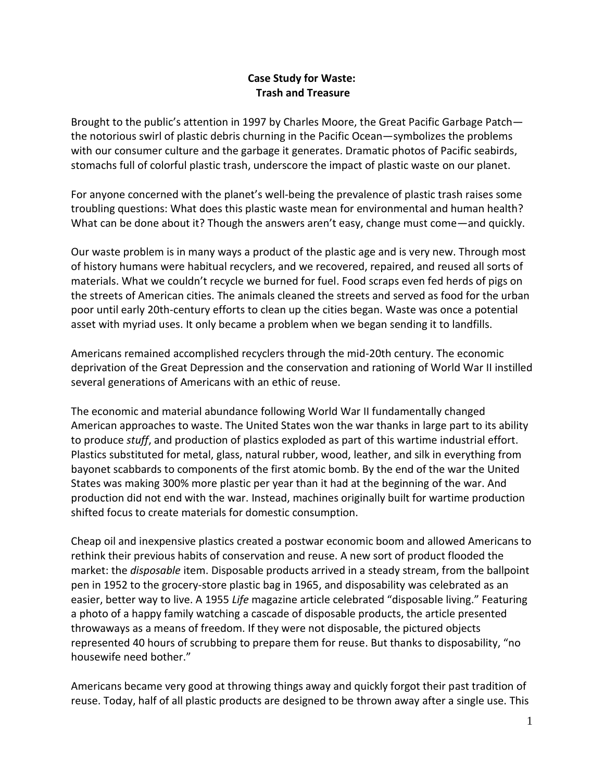## **Case Study for Waste: Trash and Treasure**

Brought to the public's attention in 1997 by Charles Moore, the Great Pacific Garbage Patch the notorious swirl of plastic debris churning in the Pacific Ocean—symbolizes the problems with our consumer culture and the garbage it generates. Dramatic photos of Pacific seabirds, stomachs full of colorful plastic trash, underscore the impact of plastic waste on our planet.

For anyone concerned with the planet's well-being the prevalence of plastic trash raises some troubling questions: What does this plastic waste mean for environmental and human health? What can be done about it? Though the answers aren't easy, change must come—and quickly.

Our waste problem is in many ways a product of the plastic age and is very new. Through most of history humans were habitual recyclers, and we recovered, repaired, and reused all sorts of materials. What we couldn't recycle we burned for fuel. Food scraps even fed herds of pigs on the streets of American cities. The animals cleaned the streets and served as food for the urban poor until early 20th-century efforts to clean up the cities began. Waste was once a potential asset with myriad uses. It only became a problem when we began sending it to landfills.

Americans remained accomplished recyclers through the mid-20th century. The economic deprivation of the Great Depression and the conservation and rationing of World War II instilled several generations of Americans with an ethic of reuse.

The economic and material abundance following World War II fundamentally changed American approaches to waste. The United States won the war thanks in large part to its ability to produce *stuff*, and production of plastics exploded as part of this wartime industrial effort. Plastics substituted for metal, glass, natural rubber, wood, leather, and silk in everything from bayonet scabbards to components of the first atomic bomb. By the end of the war the United States was making 300% more plastic per year than it had at the beginning of the war. And production did not end with the war. Instead, machines originally built for wartime production shifted focus to create materials for domestic consumption.

Cheap oil and inexpensive plastics created a postwar economic boom and allowed Americans to rethink their previous habits of conservation and reuse. A new sort of product flooded the market: the *disposable* item. Disposable products arrived in a steady stream, from the ballpoint pen in 1952 to the grocery-store plastic bag in 1965, and disposability was celebrated as an easier, better way to live. A 1955 *Life* magazine article celebrated "disposable living." Featuring a photo of a happy family watching a cascade of disposable products, the article presented throwaways as a means of freedom. If they were not disposable, the pictured objects represented 40 hours of scrubbing to prepare them for reuse. But thanks to disposability, "no housewife need bother."

Americans became very good at throwing things away and quickly forgot their past tradition of reuse. Today, half of all plastic products are designed to be thrown away after a single use. This